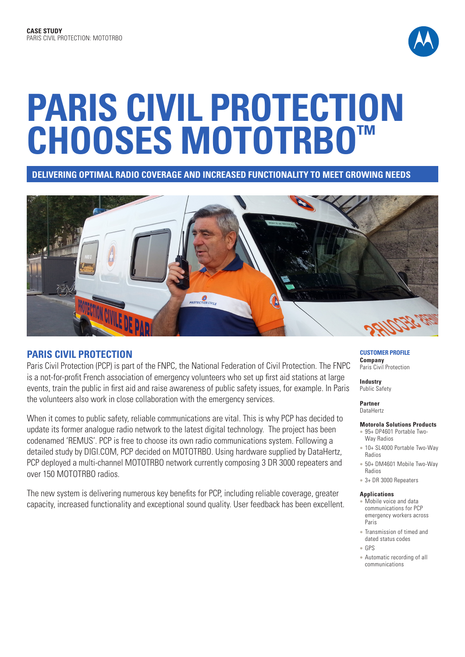

# **PARIS CIVIL PROTECTION CHOOSES MOTOTRBO™**

**DELIVERING OPTIMAL RADIO COVERAGE AND INCREASED FUNCTIONALITY TO MEET GROWING NEEDS** 



# **PARIS CIVIL PROTECTION**

Paris Civil Protection (PCP) is part of the FNPC, the National Federation of Civil Protection. The FNPC is a not-for-profit French association of emergency volunteers who set up first aid stations at large events, train the public in first aid and raise awareness of public safety issues, for example. In Paris the volunteers also work in close collaboration with the emergency services.

When it comes to public safety, reliable communications are vital. This is why PCP has decided to update its former analogue radio network to the latest digital technology. The project has been codenamed 'REMUS'. PCP is free to choose its own radio communications system. Following a detailed study by DIGI.COM, PCP decided on MOTOTRBO. Using hardware supplied by DataHertz, PCP deployed a multi-channel MOTOTRBO network currently composing 3 DR 3000 repeaters and over 150 MOTOTRBO radios.

The new system is delivering numerous key benefits for PCP, including reliable coverage, greater capacity, increased functionality and exceptional sound quality. User feedback has been excellent.

## **CUSTOMER PROFILE Company**

Paris Civil Protection

**Industry** Public Safety

**Partner**  DataHertz

## **Motorola Solutions Products**

- <sup>l</sup> 95+ DP4601 Portable Two-Way Radios
- 10+ SL4000 Portable Two-Way Radios
- 50+ DM4601 Mobile Two-Way Radios
- 3+ DR 3000 Repeaters

#### **Applications**

- Mobile voice and data communications for PCP emergency workers across Paris
- Transmission of timed and dated status codes
- <sup>l</sup> GPS
- Automatic recording of all communications